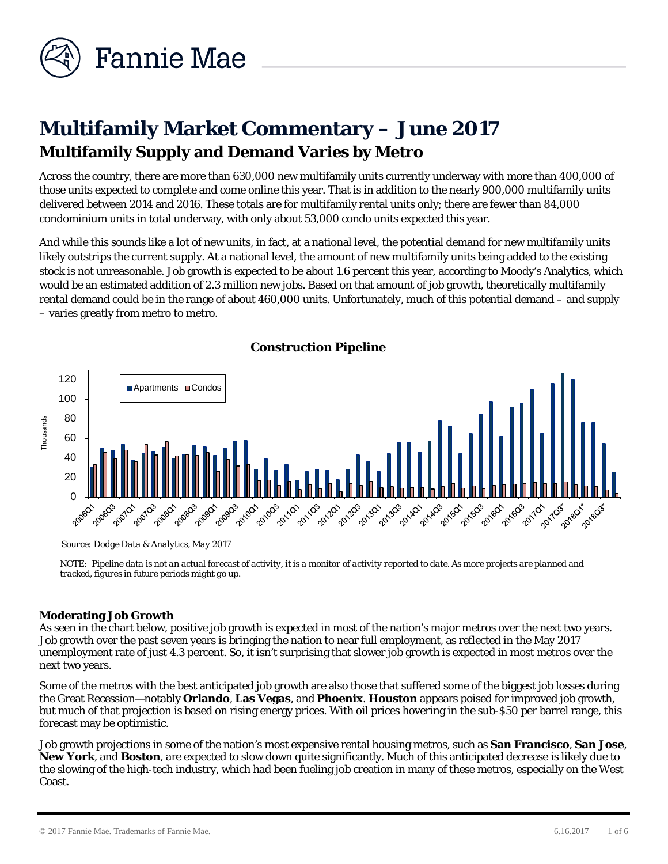

# **Multifamily Market Commentary – June 2017 Multifamily Supply and Demand Varies by Metro**

Across the country, there are more than 630,000 new multifamily units currently underway with more than 400,000 of those units expected to complete and come online this year. That is in addition to the nearly 900,000 multifamily units delivered between 2014 and 2016. These totals are for multifamily rental units only; there are fewer than 84,000 condominium units in total underway, with only about 53,000 condo units expected this year.

And while this sounds like a *lot* of new units, in fact, at a national level, the potential demand for new multifamily units likely outstrips the current supply. At a national level, the amount of new multifamily units being added to the existing stock is not unreasonable. Job growth is expected to be about 1.6 percent this year, according to Moody's Analytics, which would be an estimated addition of 2.3 million new jobs. Based on that amount of job growth, theoretically multifamily rental demand could be in the range of about 460,000 units. Unfortunately, much of this potential demand – and supply – varies greatly from metro to metro.



*Source: Dodge Data & Analytics, May 2017* 

*NOTE: Pipeline data is not an actual forecast of activity, it is a monitor of activity reported to date. As more projects are planned and tracked, figures in future periods might go up.* 

## **Moderating Job Growth**

As seen in the chart below, positive job growth is expected in most of the nation's major metros over the next two years. Job growth over the past seven years is bringing the nation to near full employment, as reflected in the May 2017 unemployment rate of just 4.3 percent. So, it isn't surprising that slower job growth is expected in most metros over the next two years.

Some of the metros with the best anticipated job growth are also those that suffered some of the biggest job losses during the Great Recession—notably **Orlando**, **Las Vegas**, and **Phoenix**. **Houston** appears poised for improved job growth, but much of that projection is based on rising energy prices. With oil prices hovering in the sub-\$50 per barrel range, this forecast may be optimistic.

Job growth projections in some of the nation's most expensive rental housing metros, such as **San Francisco**, **San Jose**, **New York**, and **Boston**, are expected to slow down quite significantly. Much of this anticipated decrease is likely due to the slowing of the high-tech industry, which had been fueling job creation in many of these metros, especially on the West Coast.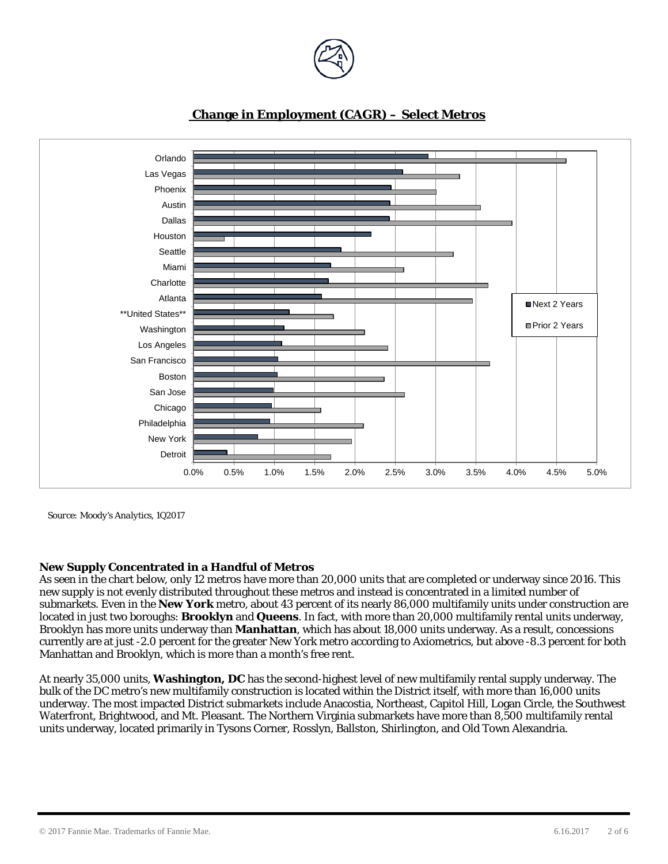



# **Change in Employment (CAGR) – Select Metros**

*Source: Moody's Analytics, 1Q2017*

## **New Supply Concentrated in a Handful of Metros**

As seen in the chart below, only 12 metros have more than 20,000 units that are completed or underway since 2016. This new supply is not evenly distributed throughout these metros and instead is concentrated in a limited number of submarkets. Even in the **New York** metro, about 43 percent of its nearly 86,000 multifamily units under construction are located in just two boroughs: **Brooklyn** and **Queens**. In fact, with more than 20,000 multifamily rental units underway, Brooklyn has more units underway than **Manhattan**, which has about 18,000 units underway. As a result, concessions currently are at just -2.0 percent for the greater New York metro according to Axiometrics, but above -8.3 percent for both Manhattan and Brooklyn, which is more than a month's free rent.

At nearly 35,000 units, **Washington, DC** has the second-highest level of new multifamily rental supply underway. The bulk of the DC metro's new multifamily construction is located within the District itself, with more than 16,000 units underway. The most impacted District submarkets include Anacostia, Northeast, Capitol Hill, Logan Circle, the Southwest Waterfront, Brightwood, and Mt. Pleasant. The Northern Virginia submarkets have more than 8,500 multifamily rental units underway, located primarily in Tysons Corner, Rosslyn, Ballston, Shirlington, and Old Town Alexandria.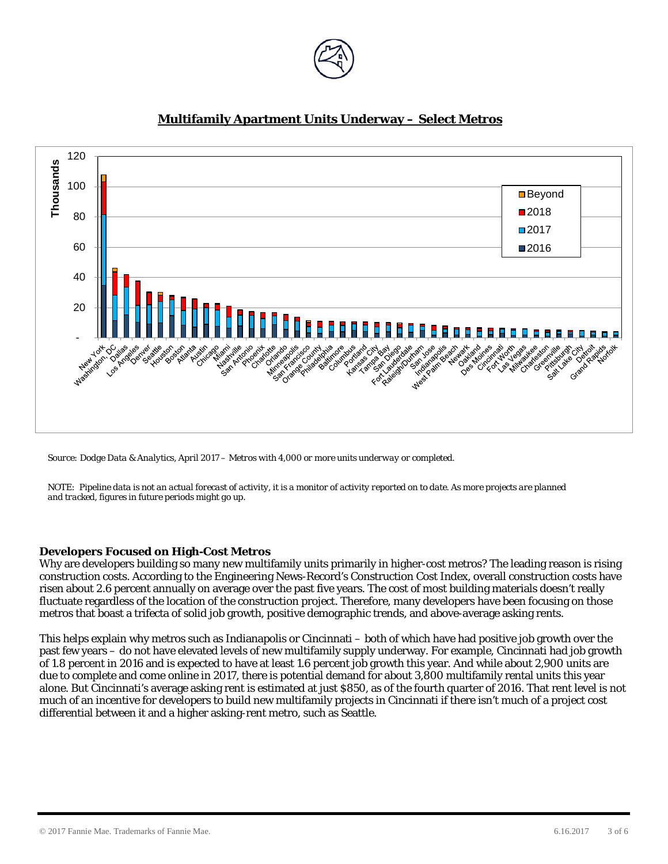



# **Multifamily Apartment Units Underway – Select Metros**

*Source: Dodge Data & Analytics, April 2017 – Metros with 4,000 or more units underway or completed.*

*NOTE: Pipeline data is not an actual forecast of activity, it is a monitor of activity reported on to date. As more projects are planned and tracked, figures in future periods might go up.* 

#### **Developers Focused on High-Cost Metros**

Why are developers building so many new multifamily units primarily in higher-cost metros? The leading reason is rising construction costs. According to the Engineering News-Record's Construction Cost Index, overall construction costs have risen about 2.6 percent annually on average over the past five years. The cost of most building materials doesn't really fluctuate regardless of the location of the construction project. Therefore, many developers have been focusing on those metros that boast a trifecta of solid job growth, positive demographic trends, and above-average asking rents.

This helps explain why metros such as Indianapolis or Cincinnati – both of which have had positive job growth over the past few years – do not have elevated levels of new multifamily supply underway. For example, Cincinnati had job growth of 1.8 percent in 2016 and is expected to have at least 1.6 percent job growth this year. And while about 2,900 units are due to complete and come online in 2017, there is potential demand for about 3,800 multifamily rental units this year alone. But Cincinnati's average asking rent is estimated at just \$850, as of the fourth quarter of 2016. That rent level is not much of an incentive for developers to build new multifamily projects in Cincinnati if there isn't much of a project cost differential between it and a higher asking-rent metro, such as Seattle.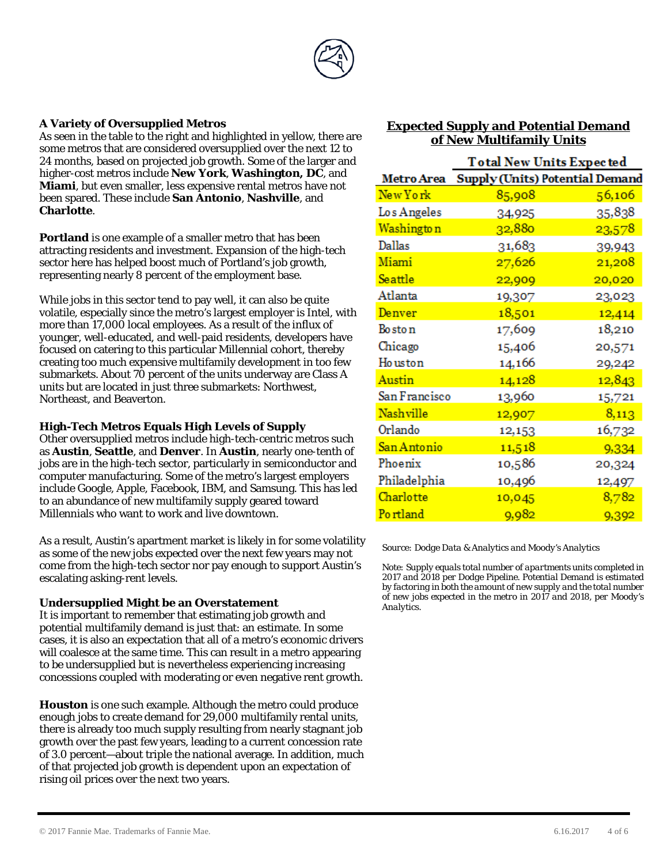

#### **A Variety of Oversupplied Metros**

As seen in the table to the right and highlighted in yellow, there are some metros that are considered oversupplied over the next 12 to 24 months, based on projected job growth. Some of the larger and higher-cost metros include **New York**, **Washington, DC**, and **Miami**, but even smaller, less expensive rental metros have not been spared. These include **San Antonio**, **Nashville**, and **Charlotte**.

**Portland** is one example of a smaller metro that has been attracting residents and investment. Expansion of the high-tech sector here has helped boost much of Portland's job growth, representing nearly 8 percent of the employment base.

While jobs in this sector tend to pay well, it can also be quite volatile, especially since the metro's largest employer is Intel, with more than 17,000 local employees. As a result of the influx of younger, well-educated, and well-paid residents, developers have focused on catering to this particular Millennial cohort, thereby creating too much expensive multifamily development in too few submarkets. About 70 percent of the units underway are Class A units but are located in just three submarkets: Northwest, Northeast, and Beaverton.

#### **High-Tech Metros Equals High Levels of Supply**

Other oversupplied metros include high-tech-centric metros such as **Austin**, **Seattle**, and **Denver**. In **Austin**, nearly one-tenth of jobs are in the high-tech sector, particularly in semiconductor and computer manufacturing. Some of the metro's largest employers include Google, Apple, Facebook, IBM, and Samsung. This has led to an abundance of new multifamily supply geared toward Millennials who want to work and live downtown.

As a result, Austin's apartment market is likely in for some volatility as some of the new jobs expected over the next few years may not come from the high-tech sector nor pay enough to support Austin's escalating asking-rent levels.

#### **Undersupplied Might be an Overstatement**

It is important to remember that estimating job growth and potential multifamily demand is just that: an estimate. In some cases, it is also an expectation that all of a metro's economic drivers will coalesce at the same time. This can result in a metro appearing to be undersupplied but is nevertheless experiencing increasing concessions coupled with moderating or even negative rent growth.

**Houston** is one such example. Although the metro could produce enough jobs to create demand for 29,000 multifamily rental units, there is already too much supply resulting from nearly stagnant job growth over the past few years, leading to a current concession rate of 3.0 percent—about triple the national average. In addition, much of that projected job growth is dependent upon an expectation of rising oil prices over the next two years.

# **Expected Supply and Potential Demand of New Multifamily Units**

|                   | <b>Total New Units Expected</b>        |        |  |
|-------------------|----------------------------------------|--------|--|
| <b>Metro Area</b> | <b>Supply (Units) Potential Demand</b> |        |  |
| New York          | 85,908                                 | 56,106 |  |
| Los Angeles       | 34,925                                 | 35,838 |  |
| Washington        | 32,880                                 | 23,578 |  |
| Dallas            | 31,683                                 | 39,943 |  |
| Miami             | 27,626                                 | 21,208 |  |
| Seattle           | 22,909                                 | 20,020 |  |
| Atlanta           | 19,307                                 | 23,023 |  |
| Denver            | 18,501                                 | 12,414 |  |
| Bo sto n          | 17,609                                 | 18,210 |  |
| Chicago           | 15,406                                 | 20,571 |  |
| Ho uston          | 14,166                                 | 29,242 |  |
| Austin            | 14,128                                 | 12,843 |  |
| San Francisco     | 13,960                                 | 15,721 |  |
| Nashville         | 12,907                                 | 8,113  |  |
| Orlando           | 12,153                                 | 16,732 |  |
| San Antonio       | 11,518                                 | 9,334  |  |
| Phoenix           | 10,586                                 | 20,324 |  |
| Philadelphia      | 10,496                                 | 12,497 |  |
| Charlotte         | 10,045                                 | 8,782  |  |
| Portland          | 9,982                                  | 9,392  |  |

*Source: Dodge Data & Analytics and Moody's Analytics*

*Note: Supply equals total number of apartments units completed in 2017 and 2018 per Dodge Pipeline. Potential Demand is estimated by factoring in both the amount of new supply and the total number of new jobs expected in the metro in 2017 and 2018, per Moody's Analytics.*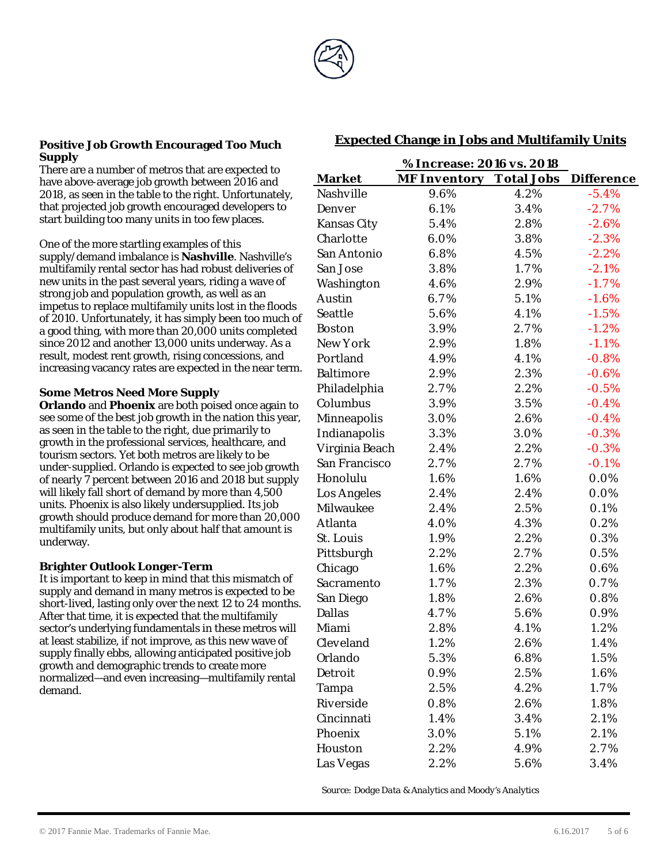

#### **Positive Job Growth Encouraged Too Much Supply**

There are a number of metros that are expected to have above-average job growth between 2016 and 2018, as seen in the table to the right. Unfortunately, that projected job growth encouraged developers to start building too many units in too few places.

One of the more startling examples of this supply/demand imbalance is **Nashville**. Nashville's multifamily rental sector has had robust deliveries of new units in the past several years, riding a wave of strong job and population growth, as well as an impetus to replace multifamily units lost in the floods of 2010. Unfortunately, it has simply been too much of a good thing, with more than 20,000 units completed since 2012 and another 13,000 units underway. As a result, modest rent growth, rising concessions, and increasing vacancy rates are expected in the near term.

#### **Some Metros Need More Supply**

**Orlando** and **Phoenix** are both poised once again to see some of the best job growth in the nation this year, as seen in the table to the right, due primarily to growth in the professional services, healthcare, and tourism sectors. Yet both metros are likely to be under-supplied. Orlando is expected to see job growth of nearly 7 percent between 2016 and 2018 but supply will likely fall short of demand by more than 4,500 units. Phoenix is also likely undersupplied. Its job growth should produce demand for more than 20,000 multifamily units, but only about half that amount is underway.

#### **Brighter Outlook Longer-Term**

It is important to keep in mind that this mismatch of supply and demand in many metros is expected to be short-lived, lasting only over the next 12 to 24 months. After that time, it is expected that the multifamily sector's underlying fundamentals in these metros will at least stabilize, if not improve, as this new wave of supply finally ebbs, allowing anticipated positive job growth and demographic trends to create more normalized—and even increasing—multifamily rental demand.

|                    | % Increase: 2016 vs. 2018      |      |                   |
|--------------------|--------------------------------|------|-------------------|
| <b>Market</b>      | <b>MF Inventory Total Jobs</b> |      | <b>Difference</b> |
| <b>Nashville</b>   | 9.6%                           | 4.2% | $-5.4%$           |
| Denver             | 6.1%                           | 3.4% | $-2.7%$           |
| <b>Kansas City</b> | 5.4%                           | 2.8% | $-2.6%$           |
| Charlotte          | 6.0%                           | 3.8% | $-2.3%$           |
| San Antonio        | 6.8%                           | 4.5% | $-2.2%$           |
| San Jose           | 3.8%                           | 1.7% | $-2.1%$           |
| Washington         | 4.6%                           | 2.9% | $-1.7%$           |
| Austin             | 6.7%                           | 5.1% | $-1.6%$           |
| Seattle            | 5.6%                           | 4.1% | $-1.5%$           |
| <b>Boston</b>      | 3.9%                           | 2.7% | $-1.2%$           |
| New York           | 2.9%                           | 1.8% | $-1.1%$           |
| Portland           | 4.9%                           | 4.1% | $-0.8%$           |
| <b>Baltimore</b>   | 2.9%                           | 2.3% | $-0.6%$           |
| Philadelphia       | 2.7%                           | 2.2% | $-0.5%$           |
| Columbus           | 3.9%                           | 3.5% | $-0.4%$           |
| Minneapolis        | 3.0%                           | 2.6% | $-0.4%$           |
| Indianapolis       | 3.3%                           | 3.0% | $-0.3%$           |
| Virginia Beach     | 2.4%                           | 2.2% | $-0.3%$           |
| San Francisco      | 2.7%                           | 2.7% | $-0.1%$           |
| Honolulu           | 1.6%                           | 1.6% | 0.0%              |
| Los Angeles        | 2.4%                           | 2.4% | 0.0%              |
| Milwaukee          | 2.4%                           | 2.5% | 0.1%              |
| Atlanta            | 4.0%                           | 4.3% | 0.2%              |
| St. Louis          | 1.9%                           | 2.2% | 0.3%              |
| Pittsburgh         | 2.2%                           | 2.7% | $0.5\%$           |
| Chicago            | 1.6%                           | 2.2% | 0.6%              |
| Sacramento         | 1.7%                           | 2.3% | 0.7%              |
| San Diego          | 1.8%                           | 2.6% | 0.8%              |
| <b>Dallas</b>      | 4.7%                           | 5.6% | 0.9%              |
| Miami              | 2.8%                           | 4.1% | 1.2%              |
| Cleveland          | 1.2%                           | 2.6% | 1.4%              |
| Orlando            | 5.3%                           | 6.8% | 1.5%              |
| Detroit            | 0.9%                           | 2.5% | 1.6%              |
| Tampa              | 2.5%                           | 4.2% | 1.7%              |
| Riverside          | 0.8%                           | 2.6% | 1.8%              |
| Cincinnati         | 1.4%                           | 3.4% | 2.1%              |
| Phoenix            | 3.0%                           | 5.1% | 2.1%              |
| Houston            | 2.2%                           | 4.9% | 2.7%              |
| Las Vegas          | 2.2%                           | 5.6% | 3.4%              |

## **Expected Change in Jobs and Multifamily Units**

*Source: Dodge Data & Analytics and Moody's Analytics*